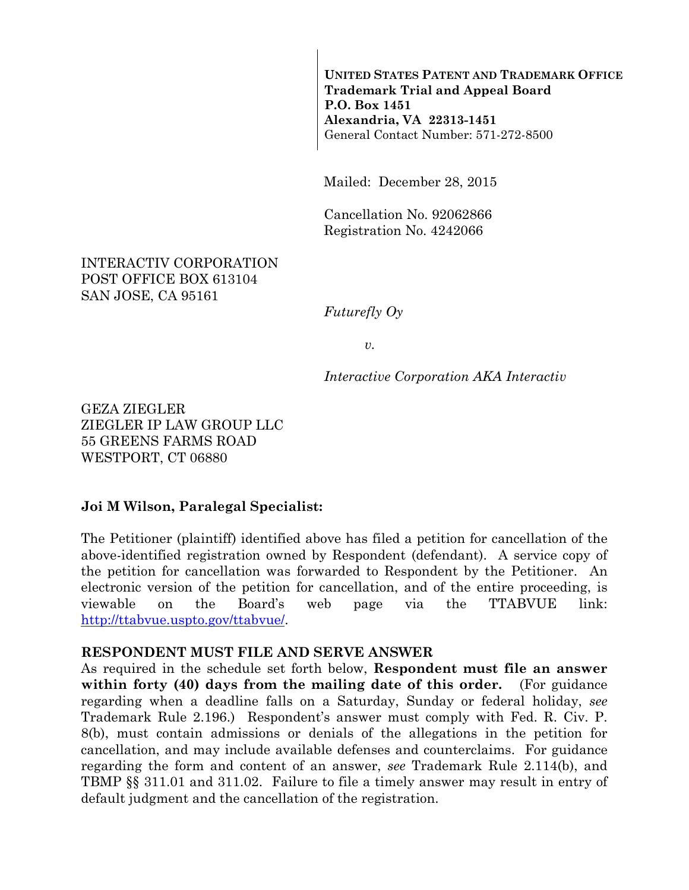**UNITED STATES PATENT AND TRADEMARK OFFICE Trademark Trial and Appeal Board P.O. Box 1451 Alexandria, VA 22313-1451**  General Contact Number: 571-272-8500

Mailed: December 28, 2015

Cancellation No. 92062866 Registration No. 4242066

#### INTERACTIV CORPORATION POST OFFICE BOX 613104 SAN JOSE, CA 95161

*Futurefly Oy* 

*v.* 

*Interactive Corporation AKA Interactiv* 

GEZA ZIEGLER ZIEGLER IP LAW GROUP LLC 55 GREENS FARMS ROAD WESTPORT, CT 06880

#### **Joi M Wilson, Paralegal Specialist:**

The Petitioner (plaintiff) identified above has filed a petition for cancellation of the above-identified registration owned by Respondent (defendant). A service copy of the petition for cancellation was forwarded to Respondent by the Petitioner. An electronic version of the petition for cancellation, and of the entire proceeding, is viewable on the Board's web page via the TTABVUE link: http://ttabvue.uspto.gov/ttabvue/.

#### **RESPONDENT MUST FILE AND SERVE ANSWER**

As required in the schedule set forth below, **Respondent must file an answer within forty (40) days from the mailing date of this order.** (For guidance regarding when a deadline falls on a Saturday, Sunday or federal holiday, *see* Trademark Rule 2.196.) Respondent's answer must comply with Fed. R. Civ. P. 8(b), must contain admissions or denials of the allegations in the petition for cancellation, and may include available defenses and counterclaims. For guidance regarding the form and content of an answer, *see* Trademark Rule 2.114(b), and TBMP §§ 311.01 and 311.02. Failure to file a timely answer may result in entry of default judgment and the cancellation of the registration.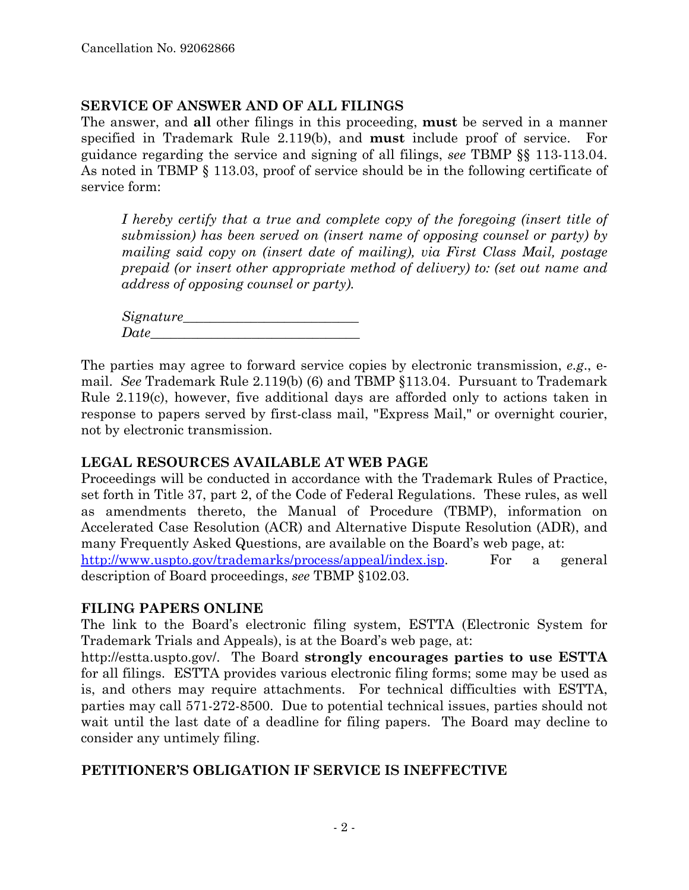#### **SERVICE OF ANSWER AND OF ALL FILINGS**

The answer, and **all** other filings in this proceeding, **must** be served in a manner specified in Trademark Rule 2.119(b), and **must** include proof of service. For guidance regarding the service and signing of all filings, *see* TBMP §§ 113-113.04. As noted in TBMP § 113.03, proof of service should be in the following certificate of service form:

*I hereby certify that a true and complete copy of the foregoing (insert title of submission) has been served on (insert name of opposing counsel or party) by mailing said copy on (insert date of mailing), via First Class Mail, postage prepaid (or insert other appropriate method of delivery) to: (set out name and address of opposing counsel or party).* 

*Signature\_\_\_\_\_\_\_\_\_\_\_\_\_\_\_\_\_\_\_\_\_\_\_\_\_\_*   $Date$   $\Box$ 

The parties may agree to forward service copies by electronic transmission, *e.g*., email. *See* Trademark Rule 2.119(b) (6) and TBMP §113.04. Pursuant to Trademark Rule 2.119(c), however, five additional days are afforded only to actions taken in response to papers served by first-class mail, "Express Mail," or overnight courier, not by electronic transmission.

### **LEGAL RESOURCES AVAILABLE AT WEB PAGE**

Proceedings will be conducted in accordance with the Trademark Rules of Practice, set forth in Title 37, part 2, of the Code of Federal Regulations.These rules, as well as amendments thereto, the Manual of Procedure (TBMP), information on Accelerated Case Resolution (ACR) and Alternative Dispute Resolution (ADR), and many Frequently Asked Questions, are available on the Board's web page, at: http://www.uspto.gov/trademarks/process/appeal/index.jsp. For a general description of Board proceedings, *see* TBMP §102.03.

### **FILING PAPERS ONLINE**

The link to the Board's electronic filing system, ESTTA (Electronic System for Trademark Trials and Appeals), is at the Board's web page, at:

http://estta.uspto.gov/. The Board **strongly encourages parties to use ESTTA** for all filings. ESTTA provides various electronic filing forms; some may be used as is, and others may require attachments. For technical difficulties with ESTTA, parties may call 571-272-8500. Due to potential technical issues, parties should not wait until the last date of a deadline for filing papers. The Board may decline to consider any untimely filing.

### **PETITIONER'S OBLIGATION IF SERVICE IS INEFFECTIVE**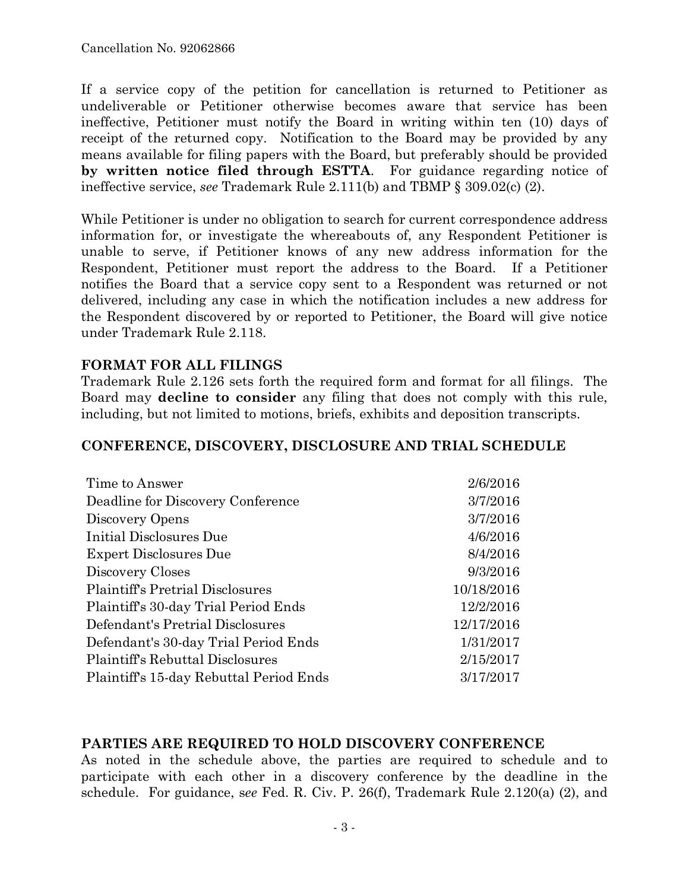If a service copy of the petition for cancellation is returned to Petitioner as undeliverable or Petitioner otherwise becomes aware that service has been ineffective, Petitioner must notify the Board in writing within ten (10) days of receipt of the returned copy. Notification to the Board may be provided by any means available for filing papers with the Board, but preferably should be provided **by written notice filed through ESTTA**. For guidance regarding notice of ineffective service, *see* Trademark Rule 2.111(b) and TBMP § 309.02(c) (2).

While Petitioner is under no obligation to search for current correspondence address information for, or investigate the whereabouts of, any Respondent Petitioner is unable to serve, if Petitioner knows of any new address information for the Respondent, Petitioner must report the address to the Board. If a Petitioner notifies the Board that a service copy sent to a Respondent was returned or not delivered, including any case in which the notification includes a new address for the Respondent discovered by or reported to Petitioner, the Board will give notice under Trademark Rule 2.118.

### **FORMAT FOR ALL FILINGS**

Trademark Rule 2.126 sets forth the required form and format for all filings. The Board may **decline to consider** any filing that does not comply with this rule, including, but not limited to motions, briefs, exhibits and deposition transcripts.

#### **CONFERENCE, DISCOVERY, DISCLOSURE AND TRIAL SCHEDULE**

| Time to Answer                          | 2/6/2016   |
|-----------------------------------------|------------|
| Deadline for Discovery Conference       | 3/7/2016   |
| Discovery Opens                         | 3/7/2016   |
| Initial Disclosures Due                 | 4/6/2016   |
| <b>Expert Disclosures Due</b>           | 8/4/2016   |
| Discovery Closes                        | 9/3/2016   |
| <b>Plaintiff's Pretrial Disclosures</b> | 10/18/2016 |
| Plaintiff's 30-day Trial Period Ends    | 12/2/2016  |
| Defendant's Pretrial Disclosures        | 12/17/2016 |
| Defendant's 30-day Trial Period Ends    | 1/31/2017  |
| Plaintiff's Rebuttal Disclosures        | 2/15/2017  |
| Plaintiff's 15-day Rebuttal Period Ends | 3/17/2017  |

### **PARTIES ARE REQUIRED TO HOLD DISCOVERY CONFERENCE**

As noted in the schedule above, the parties are required to schedule and to participate with each other in a discovery conference by the deadline in the schedule. For guidance, s*ee* Fed. R. Civ. P. 26(f), Trademark Rule 2.120(a) (2), and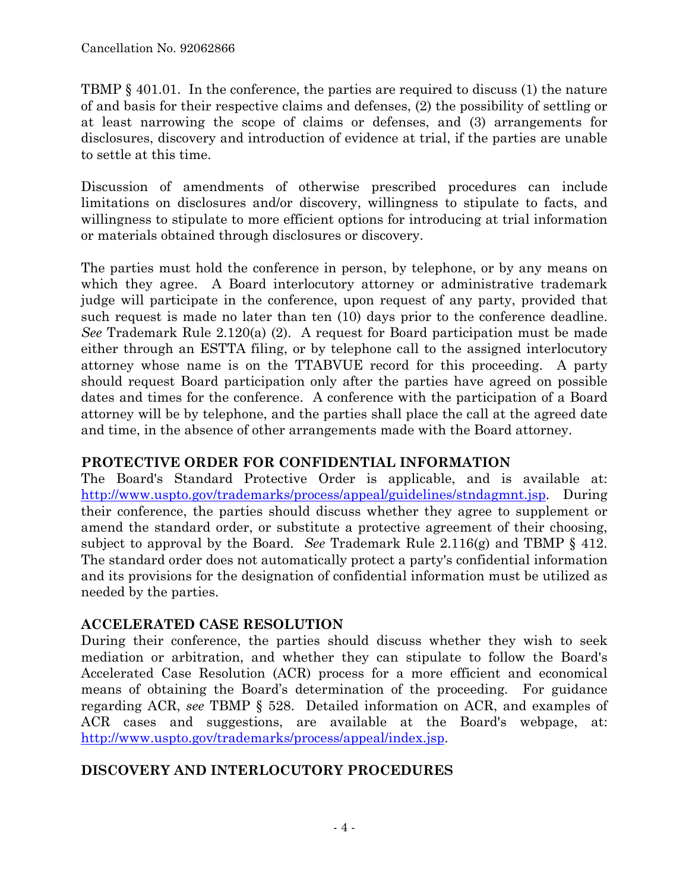TBMP § 401.01. In the conference, the parties are required to discuss (1) the nature of and basis for their respective claims and defenses, (2) the possibility of settling or at least narrowing the scope of claims or defenses, and (3) arrangements for disclosures, discovery and introduction of evidence at trial, if the parties are unable to settle at this time.

Discussion of amendments of otherwise prescribed procedures can include limitations on disclosures and/or discovery, willingness to stipulate to facts, and willingness to stipulate to more efficient options for introducing at trial information or materials obtained through disclosures or discovery.

The parties must hold the conference in person, by telephone, or by any means on which they agree. A Board interlocutory attorney or administrative trademark judge will participate in the conference, upon request of any party, provided that such request is made no later than ten (10) days prior to the conference deadline. *See* Trademark Rule 2.120(a) (2). A request for Board participation must be made either through an ESTTA filing, or by telephone call to the assigned interlocutory attorney whose name is on the TTABVUE record for this proceeding. A party should request Board participation only after the parties have agreed on possible dates and times for the conference. A conference with the participation of a Board attorney will be by telephone, and the parties shall place the call at the agreed date and time, in the absence of other arrangements made with the Board attorney.

# **PROTECTIVE ORDER FOR CONFIDENTIAL INFORMATION**

The Board's Standard Protective Order is applicable, and is available at: http://www.uspto.gov/trademarks/process/appeal/guidelines/stndagmnt.jsp. During their conference, the parties should discuss whether they agree to supplement or amend the standard order, or substitute a protective agreement of their choosing, subject to approval by the Board. *See* Trademark Rule 2.116(g) and TBMP § 412. The standard order does not automatically protect a party's confidential information and its provisions for the designation of confidential information must be utilized as needed by the parties.

# **ACCELERATED CASE RESOLUTION**

During their conference, the parties should discuss whether they wish to seek mediation or arbitration, and whether they can stipulate to follow the Board's Accelerated Case Resolution (ACR) process for a more efficient and economical means of obtaining the Board's determination of the proceeding. For guidance regarding ACR, *see* TBMP § 528. Detailed information on ACR, and examples of ACR cases and suggestions, are available at the Board's webpage, at: http://www.uspto.gov/trademarks/process/appeal/index.jsp.

# **DISCOVERY AND INTERLOCUTORY PROCEDURES**